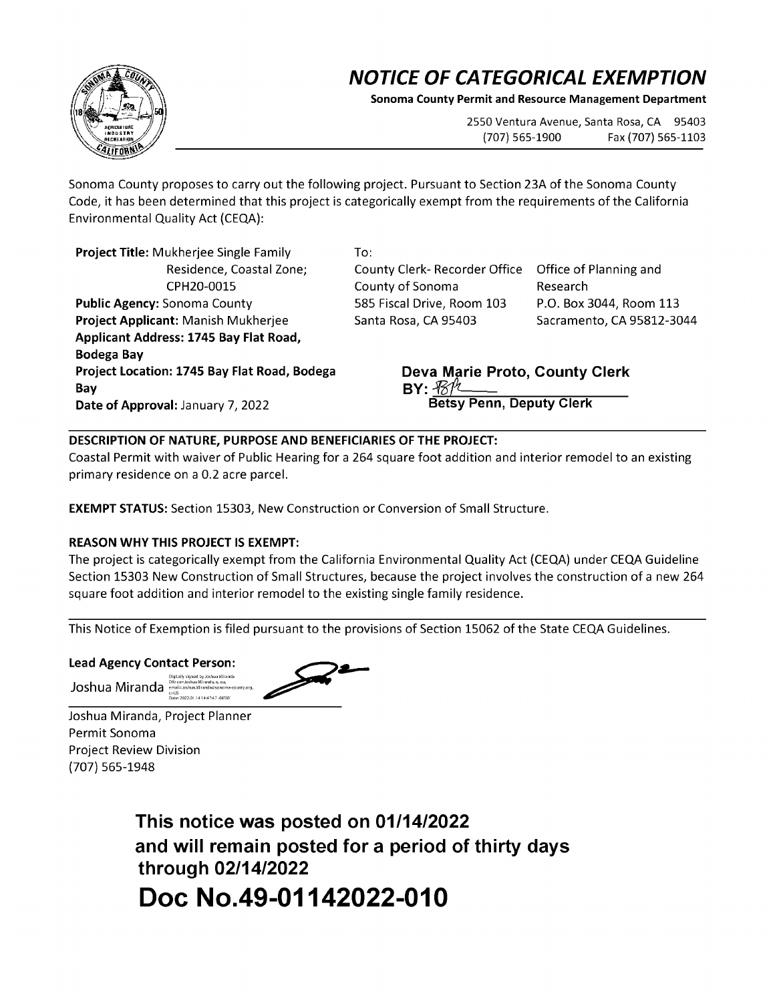## **NOTICE OF CATEGORICAL EXEMPTION**

**Sonoma County Permit and Resource Management Department** 

2550 Ventura Avenue, Santa Rosa, CA 95403 (707) 565-1900 Fax (707) 565-1103

Sonoma County proposes to carry out the following project. Pursuant to Section 23A of the Sonoma County Code, it has been determined that this project is categorically exempt from the requirements of the California Environmental Quality Act {CEQA):

**Project Title:** Mukherjee Single Family Residence, Coastal Zone; CPH20-0015 **Public Agency:** Sonoma County **Project Applicant:** Manish Mukherjee **Applicant Address: 1745 Bay Flat Road, Bodega Bay Project Location: 1745 Bay Flat Road, Bodega Bay Date of Approval:** January 7, 2022

To:

County Clerk- Recorder Office Office of Planning and County of Sonoma 585 Fiscal Drive, Room 103 Santa Rosa, CA 95403

Research P.O. Box 3044, Room 113 Sacramento, CA 95812-3044

**Deva Marie Proto, County Clerk By:** *5rlsfo,,.:.:.:;..i..--=--\_\_\_\_\_,,,----..,,..,..--,---* **Betsy Penn, Deputy Clerk** 

## **DESCRIPTION OF NATURE, PURPOSE AND BENEFICIARIES OF THE PROJECT:**

Coastal Permit with waiver of Public Hearing for a 264 square foot addition and interior remodel to an existing primary residence on a 0.2 acre parcel.

**EXEMPT STATUS:** Section 15303, New Construction or Conversion of Small Structure.

## **REASON WHY THIS PROJECT IS EXEMPT:**

The project is categorically exempt from the California Environmental Quality Act {CEQA) under CEQA Guideline Section 15303 New Construction of Small Structures, because the project involves the construction of a new 264 square foot addition and interior remodel to the existing single family residence.

This Notice of Exemption is filed pursuant to the provisions of Section 15062 of the State CEQA Guidelines.

**Lead Agency Contact Person:** 

Joshua Mir and a ,'c"'c,''"'°'h,a,.Mlcaada,,esoaom.,-m,a<e.mo,



Joshua Miranda, Project Planner Permit Sonoma Project Review Division {707) 565-1948

> **This notice was posted on 01/14/2022 and will remain posted for a period of thirty days through 02/14/2022 Doc No.49-01142022-010**